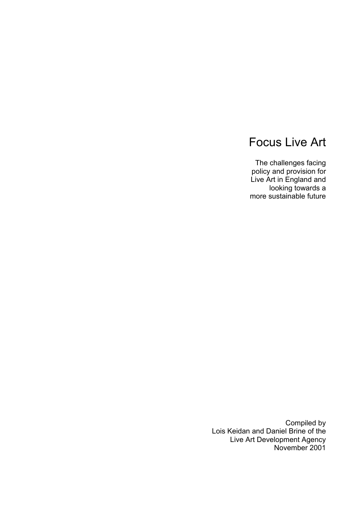# Focus Live Art

The challenges facing policy and provision for Live Art in England and looking towards a more sustainable future

Compiled by Lois Keidan and Daniel Brine of the Live Art Development Agency November 2001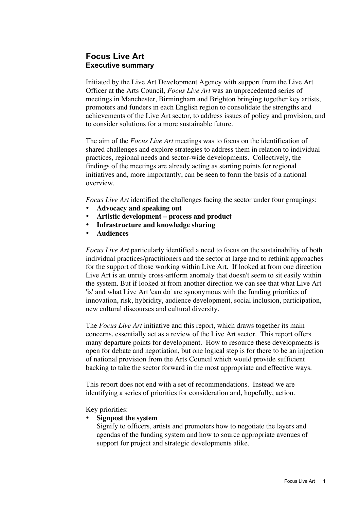## **Focus Live Art Executive summary**

Initiated by the Live Art Development Agency with support from the Live Art Officer at the Arts Council, *Focus Live Art* was an unprecedented series of meetings in Manchester, Birmingham and Brighton bringing together key artists, promoters and funders in each English region to consolidate the strengths and achievements of the Live Art sector, to address issues of policy and provision, and to consider solutions for a more sustainable future.

The aim of the *Focus Live Art* meetings was to focus on the identification of shared challenges and explore strategies to address them in relation to individual practices, regional needs and sector-wide developments. Collectively, the findings of the meetings are already acting as starting points for regional initiatives and, more importantly, can be seen to form the basis of a national overview.

*Focus Live Art* identified the challenges facing the sector under four groupings:

**Advocacy and speaking out Artistic development – process and product Infrastructure and knowledge sharing Audiences**

*Focus Live Art* particularly identified a need to focus on the sustainability of both individual practices/practitioners and the sector at large and to rethink approaches for the support of those working within Live Art. If looked at from one direction Live Art is an unruly cross-artform anomaly that doesn't seem to sit easily within the system. But if looked at from another direction we can see that what Live Art 'is' and what Live Art 'can do' are synonymous with the funding priorities of innovation, risk, hybridity, audience development, social inclusion, participation, new cultural discourses and cultural diversity.

The *Focus Live Art* initiative and this report, which draws together its main concerns, essentially act as a review of the Live Art sector. This report offers many departure points for development. How to resource these developments is open for debate and negotiation, but one logical step is for there to be an injection of national provision from the Arts Council which would provide sufficient backing to take the sector forward in the most appropriate and effective ways.

This report does not end with a set of recommendations. Instead we are identifying a series of priorities for consideration and, hopefully, action.

## Key priorities:

#### **Signpost the system**

Signify to officers, artists and promoters how to negotiate the layers and agendas of the funding system and how to source appropriate avenues of support for project and strategic developments alike.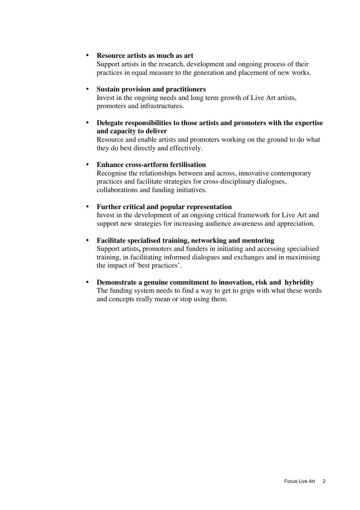#### **Resource artists as much as art**

Support artists in the research, development and ongoing process of their practices in equal measure to the generation and placement of new works.

#### **Sustain provision and practitioners**

Invest in the ongoing needs and long term growth of Live Art artists, promoters and infrastructures.

## **Delegate responsibilities to those artists and promoters with the expertise and capacity to deliver**

Resource and enable artists and promoters working on the ground to do what they do best directly and effectively.

#### **Enhance cross-artform fertilisation**

Recognise the relationships between and across, innovative contemporary practices and facilitate strategies for cross-disciplinary dialogues, collaborations and funding initiatives.

#### **Further critical and popular representation**

Invest in the development of an ongoing critical framework for Live Art and support new strategies for increasing audience awareness and appreciation.

#### **Facilitate specialised training, networking and mentoring**

Support artists**,** promoters and funders in initiating and accessing specialised training, in facilitating informed dialogues and exchanges and in maximising the impact of 'best practices'.

#### **Demonstrate a genuine commitment to innovation, risk and hybridity**

The funding system needs to find a way to get to grips with what these words and concepts really mean or stop using them.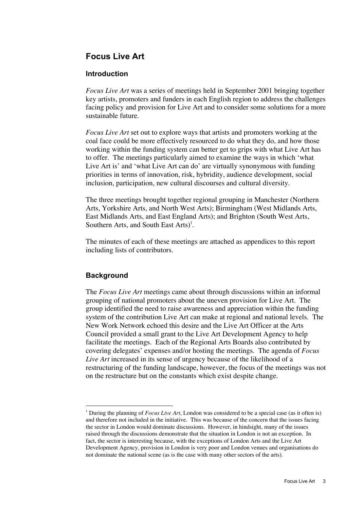## **Focus Live Art**

## **Introduction**

*Focus Live Art* was a series of meetings held in September 2001 bringing together key artists, promoters and funders in each English region to address the challenges facing policy and provision for Live Art and to consider some solutions for a more sustainable future.

*Focus Live Art* set out to explore ways that artists and promoters working at the coal face could be more effectively resourced to do what they do, and how those working within the funding system can better get to grips with what Live Art has to offer. The meetings particularly aimed to examine the ways in which 'what Live Art is' and 'what Live Art can do' are virtually synonymous with funding priorities in terms of innovation, risk, hybridity, audience development, social inclusion, participation, new cultural discourses and cultural diversity.

The three meetings brought together regional grouping in Manchester (Northern Arts, Yorkshire Arts, and North West Arts); Birmingham (West Midlands Arts, East Midlands Arts, and East England Arts); and Brighton (South West Arts, Southern Arts, and South East Arts $)^{1}$ .

The minutes of each of these meetings are attached as appendices to this report including lists of contributors.

## **Background**

The *Focus Live Art* meetings came about through discussions within an informal grouping of national promoters about the uneven provision for Live Art. The group identified the need to raise awareness and appreciation within the funding system of the contribution Live Art can make at regional and national levels. The New Work Network echoed this desire and the Live Art Officer at the Arts Council provided a small grant to the Live Art Development Agency to help facilitate the meetings. Each of the Regional Arts Boards also contributed by covering delegates' expenses and/or hosting the meetings. The agenda of *Focus Live Art* increased in its sense of urgency because of the likelihood of a restructuring of the funding landscape, however, the focus of the meetings was not on the restructure but on the constants which exist despite change.

<sup>|&</sup>lt;br>|<br>| During the planning of *Focus Live Art*, London was considered to be a special case (as it often is) and therefore not included in the initiative. This was because of the concern that the issues facing the sector in London would dominate discussions. However, in hindsight, many of the issues raised through the discussions demonstrate that the situation in London is not an exception. In fact, the sector is interesting because, with the exceptions of London Arts and the Live Art Development Agency, provision in London is very poor and London venues and organisations do not dominate the national scene (as is the case with many other sectors of the arts).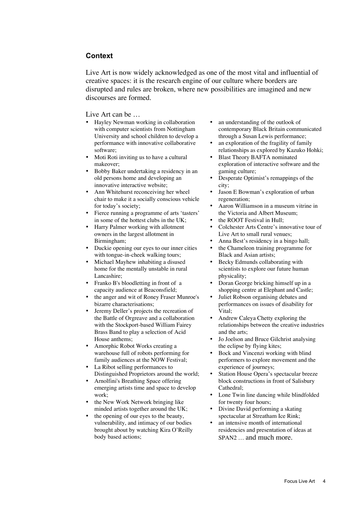#### **Context**

Live Art is now widely acknowledged as one of the most vital and influential of creative spaces: it is the research engine of our culture where borders are disrupted and rules are broken, where new possibilities are imagined and new discourses are formed.

#### Live Art can be  $\ldots$

Hayley Newman working in collaboration with computer scientists from Nottingham University and school children to develop a performance with innovative collaborative software;

Moti Roti inviting us to have a cultural makeover;

Bobby Baker undertaking a residency in an old persons home and developing an innovative interactive website;

Ann Whitehurst reconceiving her wheel chair to make it a socially conscious vehicle for today's society;

Fierce running a programme of arts 'tasters' in some of the hottest clubs in the UK; Harry Palmer working with allotment owners in the largest allotment in Birmingham;

Duckie opening our eyes to our inner cities with tongue-in-cheek walking tours; Michael Mayhew inhabiting a disused home for the mentally unstable in rural Lancashire;

Franko B's bloodletting in front of a capacity audience at Beaconsfield; the anger and wit of Roney Fraser Munroe's bizarre characterisations;

Jeremy Deller's projects the recreation of the Battle of Orgreave and a collaboration with the Stockport-based William Fairey Brass Band to play a selection of Acid House anthems;

Amorphic Robot Works creating a warehouse full of robots performing for family audiences at the NOW Festival; La Ribot selling performances to Distinguished Proprietors around the world; Arnolfini's Breathing Space offering emerging artists time and space to develop work;

the New Work Network bringing like minded artists together around the UK; the opening of our eyes to the beauty, vulnerability, and intimacy of our bodies brought about by watching Kira O'Reilly body based actions;

an understanding of the outlook of contemporary Black Britain communicated through a Susan Lewis performance; an exploration of the fragility of family relationships as explored by Kazuko Hohki; Blast Theory BAFTA nominated exploration of interactive software and the gaming culture;

Desperate Optimist's remappings of the city;

Jason E Bowman's exploration of urban regeneration;

Aaron Williamson in a museum vitrine in the Victoria and Albert Museum;

the ROOT Festival in Hull; Colchester Arts Centre's innovative tour of Live Art to small rural venues;

Anna Best's residency in a bingo hall; the Chameleon training programme for

Black and Asian artists; Becky Edmunds collaborating with

scientists to explore our future human physicality;

Doran George bricking himself up in a shopping centre at Elephant and Castle; Juliet Robson organising debates and performances on issues of disability for Vital;

Andrew Caleya Chetty exploring the relationships between the creative industries and the arts;

Jo Joelson and Bruce Gilchrist analysing the eclipse by flying kites;

Bock and Vincenzi working with blind performers to explore movement and the experience of journeys;

Station House Opera's spectacular breeze block constructions in front of Salisbury Cathedral;

Lone Twin line dancing while blindfolded for twenty four hours;

Divine David performing a skating spectacular at Streatham Ice Rink; an intensive month of international residencies and presentation of ideas at SPAN2 … and much more.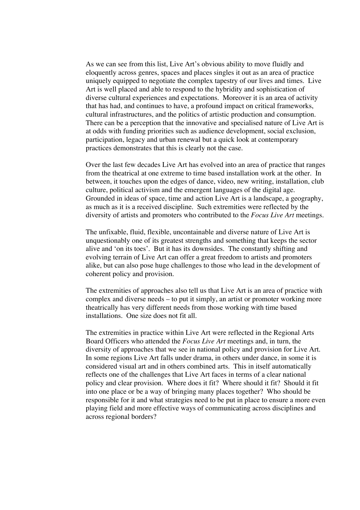As we can see from this list, Live Art's obvious ability to move fluidly and eloquently across genres, spaces and places singles it out as an area of practice uniquely equipped to negotiate the complex tapestry of our lives and times. Live Art is well placed and able to respond to the hybridity and sophistication of diverse cultural experiences and expectations. Moreover it is an area of activity that has had, and continues to have, a profound impact on critical frameworks, cultural infrastructures, and the politics of artistic production and consumption. There can be a perception that the innovative and specialised nature of Live Art is at odds with funding priorities such as audience development, social exclusion, participation, legacy and urban renewal but a quick look at contemporary practices demonstrates that this is clearly not the case.

Over the last few decades Live Art has evolved into an area of practice that ranges from the theatrical at one extreme to time based installation work at the other. In between, it touches upon the edges of dance, video, new writing, installation, club culture, political activism and the emergent languages of the digital age. Grounded in ideas of space, time and action Live Art is a landscape, a geography, as much as it is a received discipline. Such extremities were reflected by the diversity of artists and promoters who contributed to the *Focus Live Art* meetings.

The unfixable, fluid, flexible, uncontainable and diverse nature of Live Art is unquestionably one of its greatest strengths and something that keeps the sector alive and 'on its toes'. But it has its downsides. The constantly shifting and evolving terrain of Live Art can offer a great freedom to artists and promoters alike, but can also pose huge challenges to those who lead in the development of coherent policy and provision.

The extremities of approaches also tell us that Live Art is an area of practice with complex and diverse needs – to put it simply, an artist or promoter working more theatrically has very different needs from those working with time based installations. One size does not fit all.

The extremities in practice within Live Art were reflected in the Regional Arts Board Officers who attended the *Focus Live Art* meetings and, in turn, the diversity of approaches that we see in national policy and provision for Live Art. In some regions Live Art falls under drama, in others under dance, in some it is considered visual art and in others combined arts. This in itself automatically reflects one of the challenges that Live Art faces in terms of a clear national policy and clear provision. Where does it fit? Where should it fit? Should it fit into one place or be a way of bringing many places together? Who should be responsible for it and what strategies need to be put in place to ensure a more even playing field and more effective ways of communicating across disciplines and across regional borders?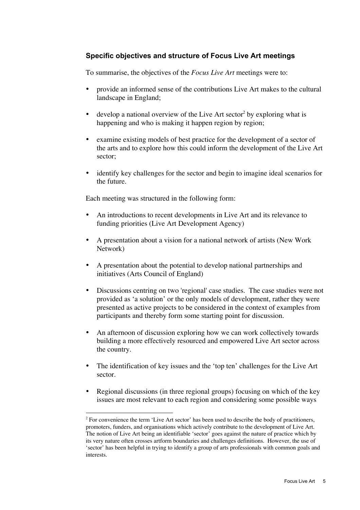## **Specific objectives and structure of Focus Live Art meetings**

To summarise, the objectives of the *Focus Live Art* meetings were to:

provide an informed sense of the contributions Live Art makes to the cultural landscape in England;

develop a national overview of the Live Art sector<sup>2</sup> by exploring what is happening and who is making it happen region by region;

examine existing models of best practice for the development of a sector of the arts and to explore how this could inform the development of the Live Art sector;

identify key challenges for the sector and begin to imagine ideal scenarios for the future.

Each meeting was structured in the following form:

An introductions to recent developments in Live Art and its relevance to funding priorities (Live Art Development Agency)

A presentation about a vision for a national network of artists (New Work Network)

A presentation about the potential to develop national partnerships and initiatives (Arts Council of England)

Discussions centring on two 'regional' case studies. The case studies were not provided as 'a solution' or the only models of development, rather they were presented as active projects to be considered in the context of examples from participants and thereby form some starting point for discussion.

An afternoon of discussion exploring how we can work collectively towards building a more effectively resourced and empowered Live Art sector across the country.

The identification of key issues and the 'top ten' challenges for the Live Art sector.

Regional discussions (in three regional groups) focusing on which of the key issues are most relevant to each region and considering some possible ways

 $\frac{1}{2}$ <sup>2</sup> For convenience the term 'Live Art sector' has been used to describe the body of practitioners, promoters, funders, and organisations which actively contribute to the development of Live Art. The notion of Live Art being an identifiable 'sector' goes against the nature of practice which by its very nature often crosses artform boundaries and challenges definitions. However, the use of 'sector' has been helpful in trying to identify a group of arts professionals with common goals and interests.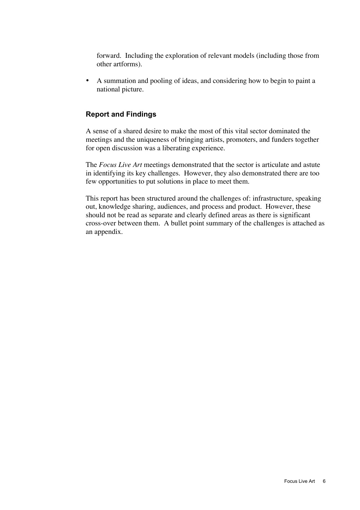forward. Including the exploration of relevant models (including those from other artforms).

A summation and pooling of ideas, and considering how to begin to paint a national picture.

## **Report and Findings**

A sense of a shared desire to make the most of this vital sector dominated the meetings and the uniqueness of bringing artists, promoters, and funders together for open discussion was a liberating experience.

The *Focus Live Art* meetings demonstrated that the sector is articulate and astute in identifying its key challenges. However, they also demonstrated there are too few opportunities to put solutions in place to meet them.

This report has been structured around the challenges of: infrastructure, speaking out, knowledge sharing, audiences, and process and product. However, these should not be read as separate and clearly defined areas as there is significant cross-over between them. A bullet point summary of the challenges is attached as an appendix.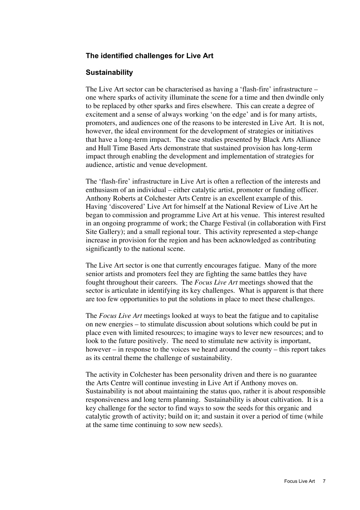## **The identified challenges for Live Art**

## **Sustainability**

The Live Art sector can be characterised as having a 'flash-fire' infrastructure – one where sparks of activity illuminate the scene for a time and then dwindle only to be replaced by other sparks and fires elsewhere. This can create a degree of excitement and a sense of always working 'on the edge' and is for many artists, promoters, and audiences one of the reasons to be interested in Live Art. It is not, however, the ideal environment for the development of strategies or initiatives that have a long-term impact. The case studies presented by Black Arts Alliance and Hull Time Based Arts demonstrate that sustained provision has long-term impact through enabling the development and implementation of strategies for audience, artistic and venue development.

The 'flash-fire' infrastructure in Live Art is often a reflection of the interests and enthusiasm of an individual – either catalytic artist, promoter or funding officer. Anthony Roberts at Colchester Arts Centre is an excellent example of this. Having 'discovered' Live Art for himself at the National Review of Live Art he began to commission and programme Live Art at his venue. This interest resulted in an ongoing programme of work; the Charge Festival (in collaboration with First Site Gallery); and a small regional tour. This activity represented a step-change increase in provision for the region and has been acknowledged as contributing significantly to the national scene.

The Live Art sector is one that currently encourages fatigue. Many of the more senior artists and promoters feel they are fighting the same battles they have fought throughout their careers. The *Focus Live Art* meetings showed that the sector is articulate in identifying its key challenges. What is apparent is that there are too few opportunities to put the solutions in place to meet these challenges.

The *Focus Live Art* meetings looked at ways to beat the fatigue and to capitalise on new energies – to stimulate discussion about solutions which could be put in place even with limited resources; to imagine ways to lever new resources; and to look to the future positively. The need to stimulate new activity is important, however – in response to the voices we heard around the county – this report takes as its central theme the challenge of sustainability.

The activity in Colchester has been personality driven and there is no guarantee the Arts Centre will continue investing in Live Art if Anthony moves on. Sustainability is not about maintaining the status quo, rather it is about responsible responsiveness and long term planning. Sustainability is about cultivation. It is a key challenge for the sector to find ways to sow the seeds for this organic and catalytic growth of activity; build on it; and sustain it over a period of time (while at the same time continuing to sow new seeds).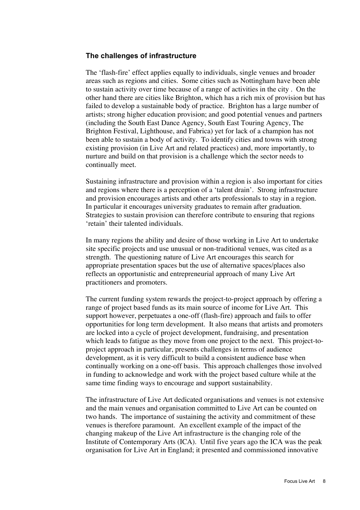## **The challenges of infrastructure**

The 'flash-fire' effect applies equally to individuals, single venues and broader areas such as regions and cities. Some cities such as Nottingham have been able to sustain activity over time because of a range of activities in the city . On the other hand there are cities like Brighton, which has a rich mix of provision but has failed to develop a sustainable body of practice. Brighton has a large number of artists; strong higher education provision; and good potential venues and partners (including the South East Dance Agency, South East Touring Agency, The Brighton Festival, Lighthouse, and Fabrica) yet for lack of a champion has not been able to sustain a body of activity. To identify cities and towns with strong existing provision (in Live Art and related practices) and, more importantly, to nurture and build on that provision is a challenge which the sector needs to continually meet.

Sustaining infrastructure and provision within a region is also important for cities and regions where there is a perception of a 'talent drain'. Strong infrastructure and provision encourages artists and other arts professionals to stay in a region. In particular it encourages university graduates to remain after graduation. Strategies to sustain provision can therefore contribute to ensuring that regions 'retain' their talented individuals.

In many regions the ability and desire of those working in Live Art to undertake site specific projects and use unusual or non-traditional venues, was cited as a strength. The questioning nature of Live Art encourages this search for appropriate presentation spaces but the use of alternative spaces/places also reflects an opportunistic and entrepreneurial approach of many Live Art practitioners and promoters.

The current funding system rewards the project-to-project approach by offering a range of project based funds as its main source of income for Live Art. This support however, perpetuates a one-off (flash-fire) approach and fails to offer opportunities for long term development. It also means that artists and promoters are locked into a cycle of project development, fundraising, and presentation which leads to fatigue as they move from one project to the next. This project-toproject approach in particular, presents challenges in terms of audience development, as it is very difficult to build a consistent audience base when continually working on a one-off basis. This approach challenges those involved in funding to acknowledge and work with the project based culture while at the same time finding ways to encourage and support sustainability.

The infrastructure of Live Art dedicated organisations and venues is not extensive and the main venues and organisation committed to Live Art can be counted on two hands. The importance of sustaining the activity and commitment of these venues is therefore paramount. An excellent example of the impact of the changing makeup of the Live Art infrastructure is the changing role of the Institute of Contemporary Arts (ICA). Until five years ago the ICA was the peak organisation for Live Art in England; it presented and commissioned innovative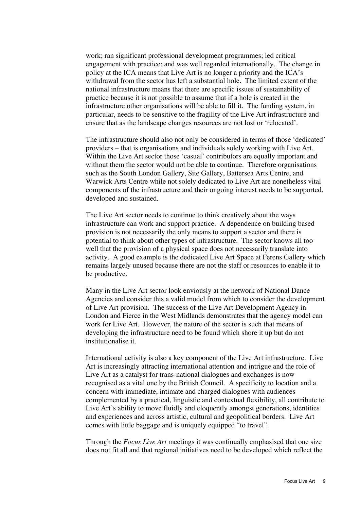work; ran significant professional development programmes; led critical engagement with practice; and was well regarded internationally. The change in policy at the ICA means that Live Art is no longer a priority and the ICA's withdrawal from the sector has left a substantial hole. The limited extent of the national infrastructure means that there are specific issues of sustainability of practice because it is not possible to assume that if a hole is created in the infrastructure other organisations will be able to fill it. The funding system, in particular, needs to be sensitive to the fragility of the Live Art infrastructure and ensure that as the landscape changes resources are not lost or 'relocated'.

The infrastructure should also not only be considered in terms of those 'dedicated' providers – that is organisations and individuals solely working with Live Art. Within the Live Art sector those 'casual' contributors are equally important and without them the sector would not be able to continue. Therefore organisations such as the South London Gallery, Site Gallery, Battersea Arts Centre, and Warwick Arts Centre while not solely dedicated to Live Art are nonetheless vital components of the infrastructure and their ongoing interest needs to be supported, developed and sustained.

The Live Art sector needs to continue to think creatively about the ways infrastructure can work and support practice. A dependence on building based provision is not necessarily the only means to support a sector and there is potential to think about other types of infrastructure. The sector knows all too well that the provision of a physical space does not necessarily translate into activity. A good example is the dedicated Live Art Space at Ferens Gallery which remains largely unused because there are not the staff or resources to enable it to be productive.

Many in the Live Art sector look enviously at the network of National Dance Agencies and consider this a valid model from which to consider the development of Live Art provision. The success of the Live Art Development Agency in London and Fierce in the West Midlands demonstrates that the agency model can work for Live Art. However, the nature of the sector is such that means of developing the infrastructure need to be found which shore it up but do not institutionalise it.

International activity is also a key component of the Live Art infrastructure. Live Art is increasingly attracting international attention and intrigue and the role of Live Art as a catalyst for trans-national dialogues and exchanges is now recognised as a vital one by the British Council. A specificity to location and a concern with immediate, intimate and charged dialogues with audiences complemented by a practical, linguistic and contextual flexibility, all contribute to Live Art's ability to move fluidly and eloquently amongst generations, identities and experiences and across artistic, cultural and geopolitical borders. Live Art comes with little baggage and is uniquely equipped "to travel".

Through the *Focus Live Art* meetings it was continually emphasised that one size does not fit all and that regional initiatives need to be developed which reflect the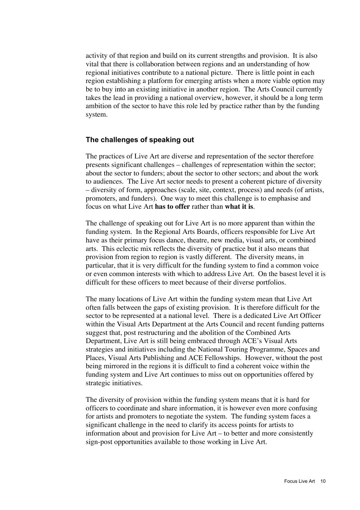activity of that region and build on its current strengths and provision. It is also vital that there is collaboration between regions and an understanding of how regional initiatives contribute to a national picture. There is little point in each region establishing a platform for emerging artists when a more viable option may be to buy into an existing initiative in another region. The Arts Council currently takes the lead in providing a national overview, however, it should be a long term ambition of the sector to have this role led by practice rather than by the funding system.

## **The challenges of speaking out**

The practices of Live Art are diverse and representation of the sector therefore presents significant challenges – challenges of representation within the sector; about the sector to funders; about the sector to other sectors; and about the work to audiences. The Live Art sector needs to present a coherent picture of diversity – diversity of form, approaches (scale, site, context, process) and needs (of artists, promoters, and funders). One way to meet this challenge is to emphasise and focus on what Live Art **has to offer** rather than **what it is**.

The challenge of speaking out for Live Art is no more apparent than within the funding system. In the Regional Arts Boards, officers responsible for Live Art have as their primary focus dance, theatre, new media, visual arts, or combined arts. This eclectic mix reflects the diversity of practice but it also means that provision from region to region is vastly different. The diversity means, in particular, that it is very difficult for the funding system to find a common voice or even common interests with which to address Live Art. On the basest level it is difficult for these officers to meet because of their diverse portfolios.

The many locations of Live Art within the funding system mean that Live Art often falls between the gaps of existing provision. It is therefore difficult for the sector to be represented at a national level. There is a dedicated Live Art Officer within the Visual Arts Department at the Arts Council and recent funding patterns suggest that, post restructuring and the abolition of the Combined Arts Department, Live Art is still being embraced through ACE's Visual Arts strategies and initiatives including the National Touring Programme, Spaces and Places, Visual Arts Publishing and ACE Fellowships. However, without the post being mirrored in the regions it is difficult to find a coherent voice within the funding system and Live Art continues to miss out on opportunities offered by strategic initiatives.

The diversity of provision within the funding system means that it is hard for officers to coordinate and share information, it is however even more confusing for artists and promoters to negotiate the system. The funding system faces a significant challenge in the need to clarify its access points for artists to information about and provision for Live Art – to better and more consistently sign-post opportunities available to those working in Live Art.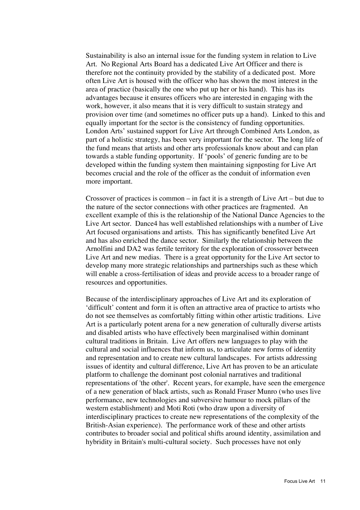Sustainability is also an internal issue for the funding system in relation to Live Art. No Regional Arts Board has a dedicated Live Art Officer and there is therefore not the continuity provided by the stability of a dedicated post. More often Live Art is housed with the officer who has shown the most interest in the area of practice (basically the one who put up her or his hand). This has its advantages because it ensures officers who are interested in engaging with the work, however, it also means that it is very difficult to sustain strategy and provision over time (and sometimes no officer puts up a hand). Linked to this and equally important for the sector is the consistency of funding opportunities. London Arts' sustained support for Live Art through Combined Arts London, as part of a holistic strategy, has been very important for the sector. The long life of the fund means that artists and other arts professionals know about and can plan towards a stable funding opportunity. If 'pools' of generic funding are to be developed within the funding system then maintaining signposting for Live Art becomes crucial and the role of the officer as the conduit of information even more important.

Crossover of practices is common – in fact it is a strength of Live Art – but due to the nature of the sector connections with other practices are fragmented. An excellent example of this is the relationship of the National Dance Agencies to the Live Art sector. Dance4 has well established relationships with a number of Live Art focused organisations and artists. This has significantly benefited Live Art and has also enriched the dance sector. Similarly the relationship between the Arnolfini and DA2 was fertile territory for the exploration of crossover between Live Art and new medias. There is a great opportunity for the Live Art sector to develop many more strategic relationships and partnerships such as these which will enable a cross-fertilisation of ideas and provide access to a broader range of resources and opportunities.

Because of the interdisciplinary approaches of Live Art and its exploration of 'difficult' content and form it is often an attractive area of practice to artists who do not see themselves as comfortably fitting within other artistic traditions. Live Art is a particularly potent arena for a new generation of culturally diverse artists and disabled artists who have effectively been marginalised within dominant cultural traditions in Britain. Live Art offers new languages to play with the cultural and social influences that inform us, to articulate new forms of identity and representation and to create new cultural landscapes. For artists addressing issues of identity and cultural difference, Live Art has proven to be an articulate platform to challenge the dominant post colonial narratives and traditional representations of 'the other'. Recent years, for example, have seen the emergence of a new generation of black artists, such as Ronald Fraser Munro (who uses live performance, new technologies and subversive humour to mock pillars of the western establishment) and Moti Roti (who draw upon a diversity of interdisciplinary practices to create new representations of the complexity of the British-Asian experience). The performance work of these and other artists contributes to broader social and political shifts around identity, assimilation and hybridity in Britain's multi-cultural society. Such processes have not only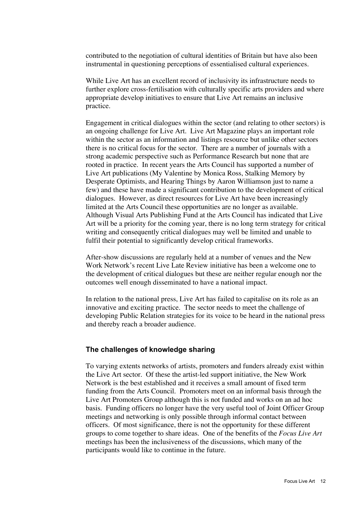contributed to the negotiation of cultural identities of Britain but have also been instrumental in questioning perceptions of essentialised cultural experiences.

While Live Art has an excellent record of inclusivity its infrastructure needs to further explore cross-fertilisation with culturally specific arts providers and where appropriate develop initiatives to ensure that Live Art remains an inclusive practice.

Engagement in critical dialogues within the sector (and relating to other sectors) is an ongoing challenge for Live Art. Live Art Magazine plays an important role within the sector as an information and listings resource but unlike other sectors there is no critical focus for the sector. There are a number of journals with a strong academic perspective such as Performance Research but none that are rooted in practice. In recent years the Arts Council has supported a number of Live Art publications (My Valentine by Monica Ross, Stalking Memory by Desperate Optimists, and Hearing Things by Aaron Williamson just to name a few) and these have made a significant contribution to the development of critical dialogues. However, as direct resources for Live Art have been increasingly limited at the Arts Council these opportunities are no longer as available. Although Visual Arts Publishing Fund at the Arts Council has indicated that Live Art will be a priority for the coming year, there is no long term strategy for critical writing and consequently critical dialogues may well be limited and unable to fulfil their potential to significantly develop critical frameworks.

After-show discussions are regularly held at a number of venues and the New Work Network's recent Live Late Review initiative has been a welcome one to the development of critical dialogues but these are neither regular enough nor the outcomes well enough disseminated to have a national impact.

In relation to the national press, Live Art has failed to capitalise on its role as an innovative and exciting practice. The sector needs to meet the challenge of developing Public Relation strategies for its voice to be heard in the national press and thereby reach a broader audience.

## **The challenges of knowledge sharing**

To varying extents networks of artists, promoters and funders already exist within the Live Art sector. Of these the artist-led support initiative, the New Work Network is the best established and it receives a small amount of fixed term funding from the Arts Council. Promoters meet on an informal basis through the Live Art Promoters Group although this is not funded and works on an ad hoc basis. Funding officers no longer have the very useful tool of Joint Officer Group meetings and networking is only possible through informal contact between officers. Of most significance, there is not the opportunity for these different groups to come together to share ideas. One of the benefits of the *Focus Live Art* meetings has been the inclusiveness of the discussions, which many of the participants would like to continue in the future.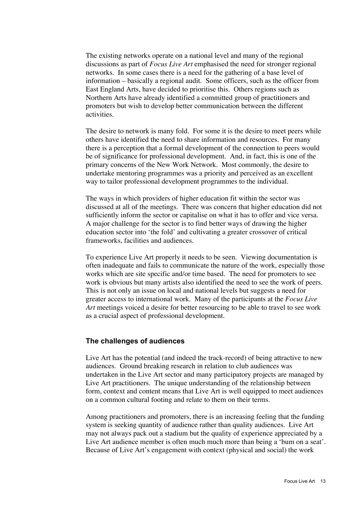The existing networks operate on a national level and many of the regional discussions as part of *Focus Live Art* emphasised the need for stronger regional networks. In some cases there is a need for the gathering of a base level of information – basically a regional audit. Some officers, such as the officer from East England Arts, have decided to prioritise this. Others regions such as Northern Arts have already identified a committed group of practitioners and promoters but wish to develop better communication between the different activities.

The desire to network is many fold. For some it is the desire to meet peers while others have identified the need to share information and resources. For many there is a perception that a formal development of the connection to peers would be of significance for professional development. And, in fact, this is one of the primary concerns of the New Work Network. Most commonly, the desire to undertake mentoring programmes was a priority and perceived as an excellent way to tailor professional development programmes to the individual.

The ways in which providers of higher education fit within the sector was discussed at all of the meetings. There was concern that higher education did not sufficiently inform the sector or capitalise on what it has to offer and vice versa. A major challenge for the sector is to find better ways of drawing the higher education sector into 'the fold' and cultivating a greater crossover of critical frameworks, facilities and audiences.

To experience Live Art properly it needs to be seen. Viewing documentation is often inadequate and fails to communicate the nature of the work, especially those works which are site specific and/or time based. The need for promoters to see work is obvious but many artists also identified the need to see the work of peers. This is not only an issue on local and national levels but suggests a need for greater access to international work. Many of the participants at the *Focus Live Art* meetings voiced a desire for better resourcing to be able to travel to see work as a crucial aspect of professional development.

## **The challenges of audiences**

Live Art has the potential (and indeed the track-record) of being attractive to new audiences. Ground breaking research in relation to club audiences was undertaken in the Live Art sector and many participatory projects are managed by Live Art practitioners. The unique understanding of the relationship between form, context and content means that Live Art is well equipped to meet audiences on a common cultural footing and relate to them on their terms.

Among practitioners and promoters, there is an increasing feeling that the funding system is seeking quantity of audience rather than quality audiences. Live Art may not always pack out a stadium but the quality of experience appreciated by a Live Art audience member is often much much more than being a 'bum on a seat'. Because of Live Art's engagement with context (physical and social) the work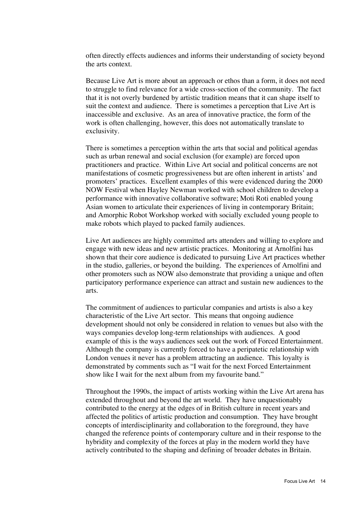often directly effects audiences and informs their understanding of society beyond the arts context.

Because Live Art is more about an approach or ethos than a form, it does not need to struggle to find relevance for a wide cross-section of the community. The fact that it is not overly burdened by artistic tradition means that it can shape itself to suit the context and audience. There is sometimes a perception that Live Art is inaccessible and exclusive. As an area of innovative practice, the form of the work is often challenging, however, this does not automatically translate to exclusivity.

There is sometimes a perception within the arts that social and political agendas such as urban renewal and social exclusion (for example) are forced upon practitioners and practice. Within Live Art social and political concerns are not manifestations of cosmetic progressiveness but are often inherent in artists' and promoters' practices. Excellent examples of this were evidenced during the 2000 NOW Festival when Hayley Newman worked with school children to develop a performance with innovative collaborative software; Moti Roti enabled young Asian women to articulate their experiences of living in contemporary Britain; and Amorphic Robot Workshop worked with socially excluded young people to make robots which played to packed family audiences.

Live Art audiences are highly committed arts attenders and willing to explore and engage with new ideas and new artistic practices. Monitoring at Arnolfini has shown that their core audience is dedicated to pursuing Live Art practices whether in the studio, galleries, or beyond the building. The experiences of Arnolfini and other promoters such as NOW also demonstrate that providing a unique and often participatory performance experience can attract and sustain new audiences to the arts.

The commitment of audiences to particular companies and artists is also a key characteristic of the Live Art sector. This means that ongoing audience development should not only be considered in relation to venues but also with the ways companies develop long-term relationships with audiences. A good example of this is the ways audiences seek out the work of Forced Entertainment. Although the company is currently forced to have a peripatetic relationship with London venues it never has a problem attracting an audience. This loyalty is demonstrated by comments such as "I wait for the next Forced Entertainment show like I wait for the next album from my favourite band."

Throughout the 1990s, the impact of artists working within the Live Art arena has extended throughout and beyond the art world. They have unquestionably contributed to the energy at the edges of in British culture in recent years and affected the politics of artistic production and consumption. They have brought concepts of interdisciplinarity and collaboration to the foreground, they have changed the reference points of contemporary culture and in their response to the hybridity and complexity of the forces at play in the modern world they have actively contributed to the shaping and defining of broader debates in Britain.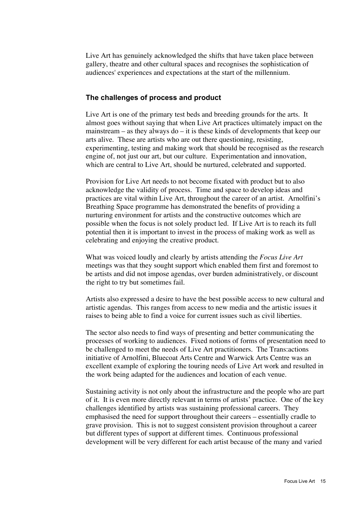Live Art has genuinely acknowledged the shifts that have taken place between gallery, theatre and other cultural spaces and recognises the sophistication of audiences' experiences and expectations at the start of the millennium.

## **The challenges of process and product**

Live Art is one of the primary test beds and breeding grounds for the arts. It almost goes without saying that when Live Art practices ultimately impact on the mainstream – as they always do – it is these kinds of developments that keep our arts alive. These are artists who are out there questioning, resisting, experimenting, testing and making work that should be recognised as the research engine of, not just our art, but our culture. Experimentation and innovation, which are central to Live Art, should be nurtured, celebrated and supported.

Provision for Live Art needs to not become fixated with product but to also acknowledge the validity of process. Time and space to develop ideas and practices are vital within Live Art, throughout the career of an artist. Arnolfini's Breathing Space programme has demonstrated the benefits of providing a nurturing environment for artists and the constructive outcomes which are possible when the focus is not solely product led. If Live Art is to reach its full potential then it is important to invest in the process of making work as well as celebrating and enjoying the creative product.

What was voiced loudly and clearly by artists attending the *Focus Live Art* meetings was that they sought support which enabled them first and foremost to be artists and did not impose agendas, over burden administratively, or discount the right to try but sometimes fail.

Artists also expressed a desire to have the best possible access to new cultural and artistic agendas. This ranges from access to new media and the artistic issues it raises to being able to find a voice for current issues such as civil liberties.

The sector also needs to find ways of presenting and better communicating the processes of working to audiences. Fixed notions of forms of presentation need to be challenged to meet the needs of Live Art practitioners. The Trans:actions initiative of Arnolfini, Bluecoat Arts Centre and Warwick Arts Centre was an excellent example of exploring the touring needs of Live Art work and resulted in the work being adapted for the audiences and location of each venue.

Sustaining activity is not only about the infrastructure and the people who are part of it. It is even more directly relevant in terms of artists' practice. One of the key challenges identified by artists was sustaining professional careers. They emphasised the need for support throughout their careers – essentially cradle to grave provision. This is not to suggest consistent provision throughout a career but different types of support at different times. Continuous professional development will be very different for each artist because of the many and varied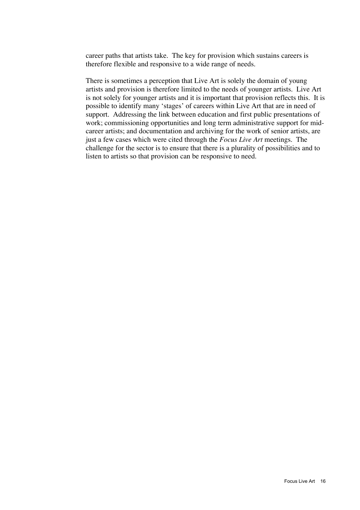career paths that artists take. The key for provision which sustains careers is therefore flexible and responsive to a wide range of needs.

There is sometimes a perception that Live Art is solely the domain of young artists and provision is therefore limited to the needs of younger artists. Live Art is not solely for younger artists and it is important that provision reflects this. It is possible to identify many 'stages' of careers within Live Art that are in need of support. Addressing the link between education and first public presentations of work; commissioning opportunities and long term administrative support for midcareer artists; and documentation and archiving for the work of senior artists, are just a few cases which were cited through the *Focus Live Art* meetings. The challenge for the sector is to ensure that there is a plurality of possibilities and to listen to artists so that provision can be responsive to need.